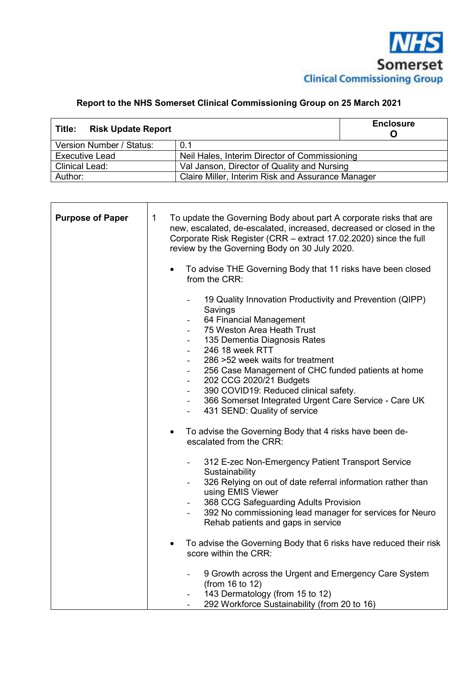

## **Report to the NHS Somerset Clinical Commissioning Group on 25 March 2021**

| <b>Risk Update Report</b><br>Title: |                                                   | <b>Enclosure</b> |
|-------------------------------------|---------------------------------------------------|------------------|
| Version Number / Status:            | 0.1                                               |                  |
| <b>Executive Lead</b>               | Neil Hales, Interim Director of Commissioning     |                  |
| <b>Clinical Lead:</b>               | Val Janson, Director of Quality and Nursing       |                  |
| Author:                             | Claire Miller, Interim Risk and Assurance Manager |                  |

| To update the Governing Body about part A corporate risks that are<br>$\mathbf 1$<br>new, escalated, de-escalated, increased, decreased or closed in the<br>Corporate Risk Register (CRR – extract 17.02.2020) since the full<br>review by the Governing Body on 30 July 2020. |
|--------------------------------------------------------------------------------------------------------------------------------------------------------------------------------------------------------------------------------------------------------------------------------|
| To advise THE Governing Body that 11 risks have been closed<br>from the CRR:                                                                                                                                                                                                   |
| 19 Quality Innovation Productivity and Prevention (QIPP)<br>Savings<br>64 Financial Management<br>$\blacksquare$                                                                                                                                                               |
| 75 Weston Area Heath Trust                                                                                                                                                                                                                                                     |
| 135 Dementia Diagnosis Rates                                                                                                                                                                                                                                                   |
| 246 18 week RTT                                                                                                                                                                                                                                                                |
| 286 > 52 week waits for treatment                                                                                                                                                                                                                                              |
| 256 Case Management of CHC funded patients at home                                                                                                                                                                                                                             |
| 202 CCG 2020/21 Budgets                                                                                                                                                                                                                                                        |
| 390 COVID19: Reduced clinical safety.                                                                                                                                                                                                                                          |
| 366 Somerset Integrated Urgent Care Service - Care UK<br>$\sim$<br>431 SEND: Quality of service<br>$\sim$                                                                                                                                                                      |
| To advise the Governing Body that 4 risks have been de-<br>$\bullet$<br>escalated from the CRR:                                                                                                                                                                                |
| 312 E-zec Non-Emergency Patient Transport Service<br>Sustainability                                                                                                                                                                                                            |
| 326 Relying on out of date referral information rather than<br>using EMIS Viewer                                                                                                                                                                                               |
| 368 CCG Safeguarding Adults Provision                                                                                                                                                                                                                                          |
| 392 No commissioning lead manager for services for Neuro<br>Rehab patients and gaps in service                                                                                                                                                                                 |
| To advise the Governing Body that 6 risks have reduced their risk<br>$\bullet$<br>score within the CRR:                                                                                                                                                                        |
| 9 Growth across the Urgent and Emergency Care System<br>$\overline{\phantom{a}}$<br>(from 16 to 12)                                                                                                                                                                            |
| 143 Dermatology (from 15 to 12)<br>292 Workforce Sustainability (from 20 to 16)                                                                                                                                                                                                |
|                                                                                                                                                                                                                                                                                |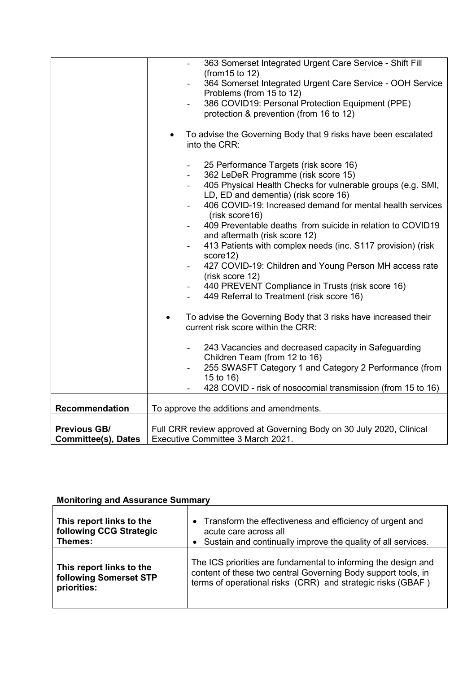|                            | 363 Somerset Integrated Urgent Care Service - Shift Fill                                                          |
|----------------------------|-------------------------------------------------------------------------------------------------------------------|
|                            | (from 15 to 12)                                                                                                   |
|                            | 364 Somerset Integrated Urgent Care Service - OOH Service<br>$\overline{\phantom{a}}$<br>Problems (from 15 to 12) |
|                            | 386 COVID19: Personal Protection Equipment (PPE)<br>$\blacksquare$                                                |
|                            | protection & prevention (from 16 to 12)                                                                           |
|                            |                                                                                                                   |
|                            | To advise the Governing Body that 9 risks have been escalated                                                     |
|                            | into the CRR:                                                                                                     |
|                            |                                                                                                                   |
|                            | 25 Performance Targets (risk score 16)                                                                            |
|                            | 362 LeDeR Programme (risk score 15)<br>405 Physical Health Checks for vulnerable groups (e.g. SMI,                |
|                            | LD, ED and dementia) (risk score 16)                                                                              |
|                            | 406 COVID-19: Increased demand for mental health services                                                         |
|                            | (risk score16)                                                                                                    |
|                            | 409 Preventable deaths from suicide in relation to COVID19                                                        |
|                            | and aftermath (risk score 12)                                                                                     |
|                            | 413 Patients with complex needs (inc. S117 provision) (risk<br>$\blacksquare$<br>score12)                         |
|                            | 427 COVID-19: Children and Young Person MH access rate<br>$\overline{\phantom{a}}$                                |
|                            | (risk score 12)                                                                                                   |
|                            | 440 PREVENT Compliance in Trusts (risk score 16)<br>$\blacksquare$                                                |
|                            | 449 Referral to Treatment (risk score 16)                                                                         |
|                            |                                                                                                                   |
|                            | To advise the Governing Body that 3 risks have increased their<br>$\bullet$<br>current risk score within the CRR: |
|                            |                                                                                                                   |
|                            | 243 Vacancies and decreased capacity in Safeguarding                                                              |
|                            | Children Team (from 12 to 16)                                                                                     |
|                            | 255 SWASFT Category 1 and Category 2 Performance (from                                                            |
|                            | 15 to 16)                                                                                                         |
|                            | 428 COVID - risk of nosocomial transmission (from 15 to 16)                                                       |
| <b>Recommendation</b>      | To approve the additions and amendments.                                                                          |
|                            |                                                                                                                   |
| <b>Previous GB/</b>        | Full CRR review approved at Governing Body on 30 July 2020, Clinical                                              |
| <b>Committee(s), Dates</b> | Executive Committee 3 March 2021.                                                                                 |

# **Monitoring and Assurance Summary**

| This report links to the | • Transform the effectiveness and efficiency of urgent and     |
|--------------------------|----------------------------------------------------------------|
| following CCG Strategic  | acute care across all                                          |
| Themes:                  | Sustain and continually improve the quality of all services.   |
| This report links to the | The ICS priorities are fundamental to informing the design and |
| following Somerset STP   | content of these two central Governing Body support tools, in  |
| priorities:              | terms of operational risks (CRR) and strategic risks (GBAF)    |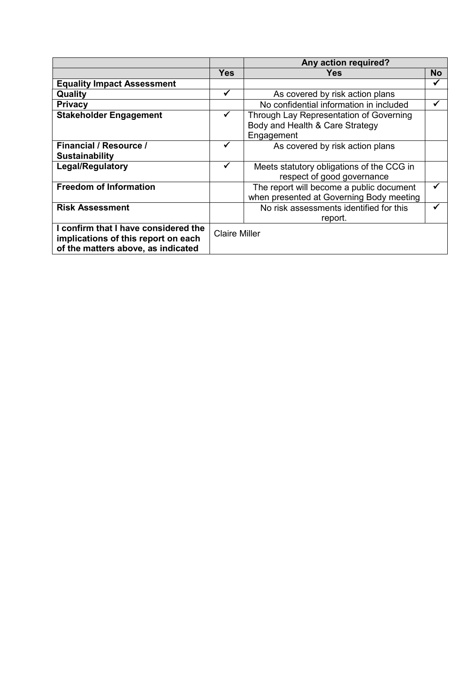|                                                                                                                   |                      | Any action required?                                                                     |           |
|-------------------------------------------------------------------------------------------------------------------|----------------------|------------------------------------------------------------------------------------------|-----------|
|                                                                                                                   | Yes                  | Yes                                                                                      | <b>No</b> |
| <b>Equality Impact Assessment</b>                                                                                 |                      |                                                                                          | ✔         |
| Quality                                                                                                           | ✓                    | As covered by risk action plans                                                          |           |
| <b>Privacy</b>                                                                                                    |                      | No confidential information in included                                                  |           |
| <b>Stakeholder Engagement</b>                                                                                     | ✔                    | Through Lay Representation of Governing<br>Body and Health & Care Strategy<br>Engagement |           |
| <b>Financial / Resource /</b><br><b>Sustainability</b>                                                            | ✓                    | As covered by risk action plans                                                          |           |
| <b>Legal/Regulatory</b>                                                                                           | ✓                    | Meets statutory obligations of the CCG in<br>respect of good governance                  |           |
| <b>Freedom of Information</b>                                                                                     |                      | The report will become a public document<br>when presented at Governing Body meeting     |           |
| <b>Risk Assessment</b>                                                                                            |                      | No risk assessments identified for this<br>report.                                       |           |
| I confirm that I have considered the<br>implications of this report on each<br>of the matters above, as indicated | <b>Claire Miller</b> |                                                                                          |           |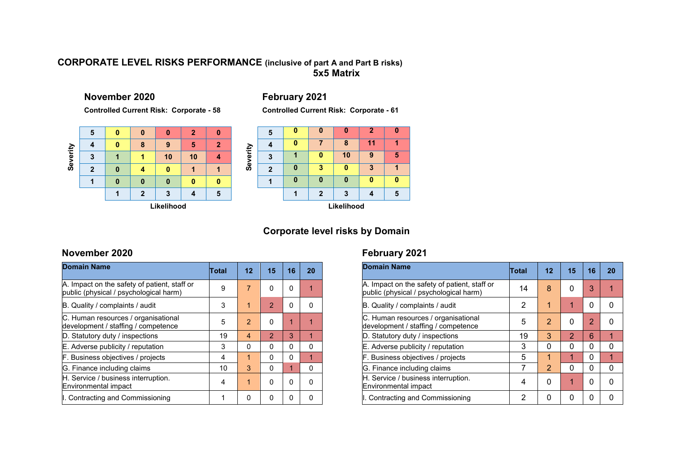### **CORPORATE LEVEL RISKS PERFORMANCE (inclusive of part A and Part B risks)5x5 Matrix**

**November 2020** 

**Controlled Current Risk: Corporate - 58**



## **February 2021 Controlled Current Risk: Corporate - 61**

|          | 5           | n | Λ |    | $\overline{2}$ |   |  |  |  |  |  |  |
|----------|-------------|---|---|----|----------------|---|--|--|--|--|--|--|
|          |             | U |   | 8  | 11             |   |  |  |  |  |  |  |
| Severity | 3           |   |   | 10 | 9              | 5 |  |  |  |  |  |  |
|          | $\mathbf 2$ | 0 | 3 |    | 3              |   |  |  |  |  |  |  |
|          |             | Λ |   |    | n              |   |  |  |  |  |  |  |
|          |             |   | 2 | 3  |                | 5 |  |  |  |  |  |  |
|          | Likelihood  |   |   |    |                |   |  |  |  |  |  |  |

### **Corporate level risks by Domain**

### **November 2020**

| <b>Domain Name</b>                                                                     | Total | $12 \,$                | 15            | 16       | 20           |
|----------------------------------------------------------------------------------------|-------|------------------------|---------------|----------|--------------|
| A. Impact on the safety of patient, staff or<br>public (physical / psychological harm) | 9     | $\overline{7}$         | 0             | $\Omega$ |              |
| B. Quality / complaints / audit                                                        | 3     | 1                      | $\mathcal{P}$ | $\Omega$ |              |
| C. Human resources / organisational<br>development / staffing / competence             | 5     | $\mathcal{P}$          | 0             | 1        |              |
| D. Statutory duty / inspections                                                        | 19    | $\boldsymbol{\Lambda}$ | $\mathcal{P}$ | 3        | 1            |
| E. Adverse publicity / reputation                                                      | 3     | $\Omega$               | O             | $\Omega$ | <sup>0</sup> |
| F. Business objectives / projects                                                      | 4     | 1                      | 0             | $\Omega$ | 1            |
| G. Finance including claims                                                            | 10    | 3                      | O             | 1        | 0            |
| H. Service / business interruption.<br>Environmental impact                            | 4     | 1                      | 0             | $\Omega$ |              |
| I. Contracting and Commissioning                                                       | 1     | <sup>0</sup>           | 0             | 0        |              |

## **February 2021**

| <b>Domain Name</b>                                                                     | Total          | 12            | 15 | 16 | 20 |
|----------------------------------------------------------------------------------------|----------------|---------------|----|----|----|
| A. Impact on the safety of patient, staff or<br>public (physical / psychological harm) | 14             | 8             | 0  | 3  |    |
| B. Quality / complaints / audit                                                        | $\overline{2}$ | 1             | 1  | 0  | n  |
| C. Human resources / organisational<br>development / staffing / competence             | 5              | 2             | 0  | 2  |    |
| D. Statutory duty / inspections                                                        | 19             | 3             | 2  | 6  | 1  |
| E. Adverse publicity / reputation                                                      | 3              | 0             | 0  | 0  | 0  |
| F. Business objectives / projects                                                      | 5              | 1             | 1  | 0  | 1  |
| G. Finance including claims                                                            | 7              | $\mathcal{P}$ | 0  | 0  | 0  |
| H. Service / business interruption.<br><b>Environmental impact</b>                     | 4              | 0             | 1  | 0  |    |
| I. Contracting and Commissioning                                                       | 2              | 0             | 0  | 0  |    |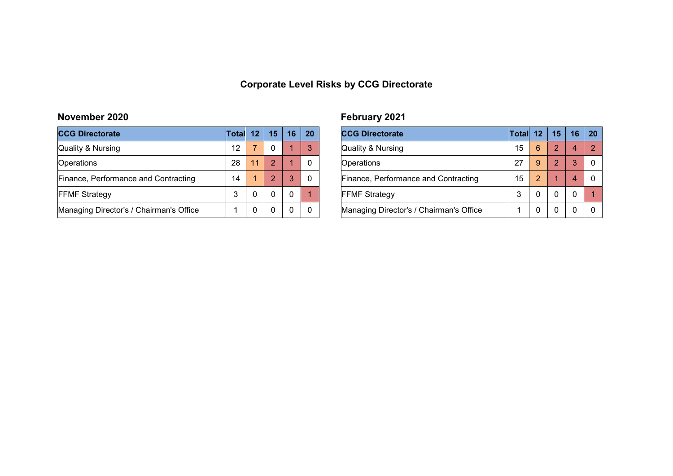### **Corporate Level Risks by CCG Directorate**

### **November 2020**

| <b>CCG Directorate</b>                  | Total | 12 <sup>2</sup> | 15 | 16 | 20 |
|-----------------------------------------|-------|-----------------|----|----|----|
| Quality & Nursing                       | 12    |                 |    |    | 3  |
| Operations                              | 28    | 11              | 2  |    |    |
| Finance, Performance and Contracting    | 14    |                 | 2  | 3  |    |
| <b>FFMF Strategy</b>                    | 3     | 0               |    |    |    |
| Managing Director's / Chairman's Office |       | O               |    |    |    |

## **February 2021**

| <b>CCG Directorate</b>                  | Total 12 |   | 15            | 16 | <b>20</b> |
|-----------------------------------------|----------|---|---------------|----|-----------|
| Quality & Nursing                       | 15       | 6 | $\mathcal{P}$ |    | 2         |
| Operations                              | 27       | 9 | $\mathcal{P}$ | 3  |           |
| Finance, Performance and Contracting    | 15       | 2 |               |    |           |
| <b>FFMF Strategy</b>                    | 3        |   | 0             |    |           |
| Managing Director's / Chairman's Office |          |   | 0             |    |           |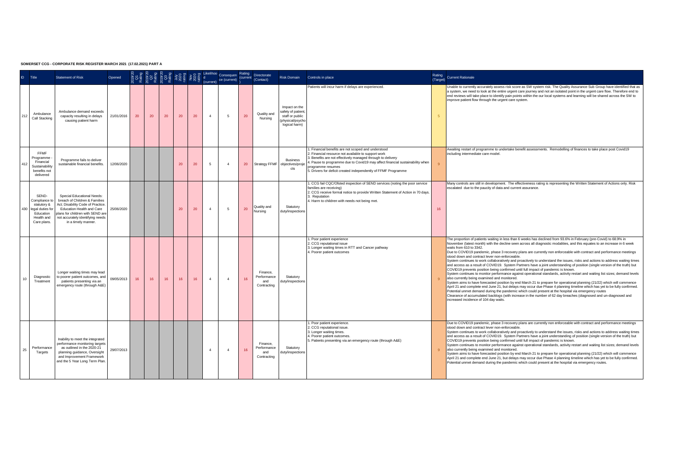| ID. | Title                                                                                               | <b>Statement of Risk</b>                                                                                                                                                                                                     | Opened     |    |    |    |                 |    |              | Consequen Rating<br>ce (current) |    | Directorate<br>(Contact)                      | Risk Domain                                                                              | Controls in place                                                                                                                                                                                                                                                                                                                                 | Rating<br>(Target) | <b>Current Rationale</b>                                                                                                                                                                                                                                                                                                                                                                                                                                                                                                                                                                                                                                                                                                                                                                                                                                                                                                                                                                                                                                                                                                                                                                                                                                                                                                                                                                                                                                                                                                  |
|-----|-----------------------------------------------------------------------------------------------------|------------------------------------------------------------------------------------------------------------------------------------------------------------------------------------------------------------------------------|------------|----|----|----|-----------------|----|--------------|----------------------------------|----|-----------------------------------------------|------------------------------------------------------------------------------------------|---------------------------------------------------------------------------------------------------------------------------------------------------------------------------------------------------------------------------------------------------------------------------------------------------------------------------------------------------|--------------------|---------------------------------------------------------------------------------------------------------------------------------------------------------------------------------------------------------------------------------------------------------------------------------------------------------------------------------------------------------------------------------------------------------------------------------------------------------------------------------------------------------------------------------------------------------------------------------------------------------------------------------------------------------------------------------------------------------------------------------------------------------------------------------------------------------------------------------------------------------------------------------------------------------------------------------------------------------------------------------------------------------------------------------------------------------------------------------------------------------------------------------------------------------------------------------------------------------------------------------------------------------------------------------------------------------------------------------------------------------------------------------------------------------------------------------------------------------------------------------------------------------------------------|
| 212 | Ambulance<br>Call Stacking                                                                          | Ambulance demand exceeds<br>capacity resulting in delays<br>causing patient harm                                                                                                                                             | 21/01/2016 | 20 | 20 | 20 | 20              | 20 | $\mathbf{d}$ | -5                               | 20 | Quality and<br>Nursing                        | Impact on the<br>safety of patient<br>staff or public<br>physical/psych<br>logical harm) | Patients will incur harm if delays are experienced                                                                                                                                                                                                                                                                                                | 5                  | Unable to currently accurately assess risk score as SW system risk. The Quality Assurance Sub Group have identified that as<br>a system, we need to look at the entire urgent care journey and not an isolated point in the urgent care flow. Therefore end to<br>end reviews will take place to identify pain points within the our local systems and learning will be shared across the SW to<br>improve patient flow through the urgent care system.                                                                                                                                                                                                                                                                                                                                                                                                                                                                                                                                                                                                                                                                                                                                                                                                                                                                                                                                                                                                                                                                   |
| 412 | FEME<br>Programme<br>Financial<br>Sustainability<br>benefits not<br>delivered                       | Programme fails to deliver<br>sustainable financial benefits.                                                                                                                                                                | 12/06/2020 |    |    |    | 20              | 20 | 5            | $\mathbf{A}$                     | 20 | Strategy FFMF                                 | Business<br>obiectives/proie<br>cts                                                      | 1. Financial benefits are not scoped and understood<br>2. Financial resource not available to support work<br>3. Benefits are not effectively managed through to delivery<br>I. Pause to programme due to Covid19 may affect financial sustainability when<br>programme resumes<br>5. Drivers for deficit created independently of FFMF Programme |                    | Awaiting restart of programme to undertake benefit assessments. Remodelling of finances to take place post Covid19<br>including intermediate care model.                                                                                                                                                                                                                                                                                                                                                                                                                                                                                                                                                                                                                                                                                                                                                                                                                                                                                                                                                                                                                                                                                                                                                                                                                                                                                                                                                                  |
| 430 | SEND-<br>Compliance to<br>statutory &<br>legal duties for<br>Education<br>Health and<br>Care plans. | Special Educational Needs:<br>breach of Children & Families<br>Act: Disability Code of Practice.<br>Education Health and Care<br>plans for children with SEND are<br>not accurately identifying needs<br>in a timely manner. | 25/06/2020 |    |    |    | 20              | 20 | $\sim$       | 5                                | 20 | Quality and<br>Nursing                        | Statutory<br>duty/inspections                                                            | 1. CCG fail CQC/Ofsted inspection of SEND services (noting the poor service<br>families are receiving)<br>2. CCG receive formal notice to provide Written Statement of Action in 70 days.<br>3. Reputation<br>4. Harm to children with needs not being met.                                                                                       | 16                 | Many controls are still in development. The effectiveness rating is representing the Written Statement of Actions only. Risk<br>escalated due to the paucity of data and current assurance.                                                                                                                                                                                                                                                                                                                                                                                                                                                                                                                                                                                                                                                                                                                                                                                                                                                                                                                                                                                                                                                                                                                                                                                                                                                                                                                               |
|     | Diagnostic<br>Treatment                                                                             | Longer waiting times may lead<br>to poorer patient outcomes, and<br>patients presenting via an<br>emergency route (through A&E)                                                                                              | 09/05/2013 | 16 | 16 | 16 | 16 <sup>°</sup> | 16 | $\mathbf{d}$ | $\mathbf{A}$                     | 16 | Finance.<br>Performance<br>and<br>Contracting | Statutory<br>dutvinspections                                                             | . Poor patient experience<br>2. CCG reputational issue<br>3. Longer waiting times in RTT and Cancer pathway<br>4. Poorer patient outcomes                                                                                                                                                                                                         |                    | The proportion of patients waiting in less than 6 weeks has declined from 93.6% in February (pre-Covid) to 68.9% in<br>November (latest month) with the decline seen across all diagnostic modalities, and this equates to an increase in 6 week<br>waits from 610 to 3342.<br>Due to COVID19 pandemic, phase 3 recovery plans are currently non enforceable with contract and performance meetings<br>stood down and contract lever non-enforceable.<br>System continues to work collaboratively and proactively to understand the issues, risks and actions to address waiting times<br>and access as a result of COVID19. System Partners have a joint understanding of position (single version of the truth) but<br>COVID19 prevents position being confirmed until full impact of pandemic is known.<br>System continues to monitor performance against operational standards, activity restart and waiting list sizes; demand levels<br>also currently being examined and monitored.<br>System aims to have forecasted position by end March 21 to prepare for operational planning (21/22) which will commence<br>April 21 and complete end June 21, but delays may occur due Phase 4 planning timeline which has yet to be fully confirmed.<br>Potential unmet demand during the pandemic which could present at the hospital via emergency routes<br>Clearance of accumulated backlogs (with increase in the number of 62 day breaches (diagnosed and un-diagnosed and<br>increased incidence of 104 day waits. |
| 25  | Performance<br>Targets                                                                              | Inability to meet the integrated<br>performance monitoring targets<br>as outlined in the 2020-21<br>planning guidance. Oversight<br>and Improvement Framework<br>and the 5 Year Long Term Plan.                              | 29/07/2013 |    |    |    |                 |    | $\sim$       | $\mathbf{A}$                     | 16 | Finance.<br>Performance<br>and<br>Contracting | Statutory<br>duty/inspections                                                            | 1. Poor patient experience.<br>2. CCG reputational issue.<br>3. Longer waiting times.<br>4. Poorer patient outcomes.<br>5. Patients presenting via an emergency route (through A&E)                                                                                                                                                               |                    | Due to COVID19 pandemic, phase 3 recovery plans are currently non enforceable with contract and performance meetings<br>stood down and contract lever non-enforceable.<br>System continues to work collaboratively and proactively to understand the issues, risks and actions to address waiting times<br>and access as a result of COVID19. System Partners have a joint understanding of position (single version of the truth) but<br>COVID19 prevents position being confirmed until full impact of pandemic is known.<br>System continues to monitor performance against operational standards, activity restart and waiting list sizes; demand levels<br>also currently being examined and monitored.<br>System aims to have forecasted position by end March 21 to prepare for operational planning (21/22) which will commence<br>April 21 and complete end June 21, but delays may occur due Phase 4 planning timeline which has yet to be fully confirmed.<br>Potential unmet demand during the pandemic which could present at the hospital via emergency routes.                                                                                                                                                                                                                                                                                                                                                                                                                                             |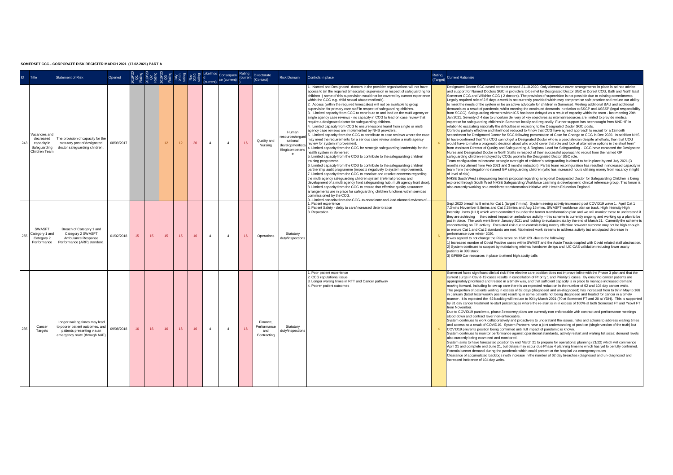|          | Title                                                                     | <b>Statement of Risk</b>                                                                                                        | Opened     |    |    |    |    |    |              | Consequen Rating<br>ce (current) (current |    | Directorate<br>(Contact)                     | Risk Domain                                                                                      | Controls in place                                                                                                                                                                                                                                                                                                                                                                                                                                                                                                                                                                                                                                                                                                                                                                                                                                                                                                                                                                                                                                                                                                                                                                                                                                                                                                                                                                                                                                                                                                                                                                                                                                                                                                                                                                                                                                                                    | Rating<br>(Target) Current Rationale                                                                                                                                                                                                                                                                                                                                                                                                                                                                                                                                                                                                                                                                                                                                                                                                                                                                                                                                                                                                                                                                                                                                                                                                                                                                                                                                                                                                                                                                                                                                                                                                                                                                                                                                                                                                                                                                                                                                                                                                                                                                                                                                                                                                                                                                                                                                                                                                                                                                                                                                                                                                                                                                                                                                                                                                                                         |
|----------|---------------------------------------------------------------------------|---------------------------------------------------------------------------------------------------------------------------------|------------|----|----|----|----|----|--------------|-------------------------------------------|----|----------------------------------------------|--------------------------------------------------------------------------------------------------|--------------------------------------------------------------------------------------------------------------------------------------------------------------------------------------------------------------------------------------------------------------------------------------------------------------------------------------------------------------------------------------------------------------------------------------------------------------------------------------------------------------------------------------------------------------------------------------------------------------------------------------------------------------------------------------------------------------------------------------------------------------------------------------------------------------------------------------------------------------------------------------------------------------------------------------------------------------------------------------------------------------------------------------------------------------------------------------------------------------------------------------------------------------------------------------------------------------------------------------------------------------------------------------------------------------------------------------------------------------------------------------------------------------------------------------------------------------------------------------------------------------------------------------------------------------------------------------------------------------------------------------------------------------------------------------------------------------------------------------------------------------------------------------------------------------------------------------------------------------------------------------|------------------------------------------------------------------------------------------------------------------------------------------------------------------------------------------------------------------------------------------------------------------------------------------------------------------------------------------------------------------------------------------------------------------------------------------------------------------------------------------------------------------------------------------------------------------------------------------------------------------------------------------------------------------------------------------------------------------------------------------------------------------------------------------------------------------------------------------------------------------------------------------------------------------------------------------------------------------------------------------------------------------------------------------------------------------------------------------------------------------------------------------------------------------------------------------------------------------------------------------------------------------------------------------------------------------------------------------------------------------------------------------------------------------------------------------------------------------------------------------------------------------------------------------------------------------------------------------------------------------------------------------------------------------------------------------------------------------------------------------------------------------------------------------------------------------------------------------------------------------------------------------------------------------------------------------------------------------------------------------------------------------------------------------------------------------------------------------------------------------------------------------------------------------------------------------------------------------------------------------------------------------------------------------------------------------------------------------------------------------------------------------------------------------------------------------------------------------------------------------------------------------------------------------------------------------------------------------------------------------------------------------------------------------------------------------------------------------------------------------------------------------------------------------------------------------------------------------------------------------------------|
| $24^{o}$ | Vacancies an<br>decreased<br>capacity in<br>Safeguarding<br>Children Tear | he provision of capacity for the<br>statutory post of designated<br>doctor safeguarding children                                | 08/09/2017 |    |    | 12 | 12 | 20 | $\Delta$     | $\mathbf{A}$                              | 16 | Quality and<br>Nursing                       | Human<br>esources/organ<br>sational<br>development/sta<br>ffing/competenc<br>$\ddot{\textbf{e}}$ | Named and Designated doctors in the provider organisations will not have<br>access to (in the required timescales) supervision in respect of safeguarding for<br>children ( some of this supervision would not be covered by current experience<br>within the CCG e.g. child sexual abuse medicals).<br>2. Access (within the required timescales) will not be available to group<br>supervision for primary care staff in respect of safeguarding children.<br>3. Limited capacity from CCG to contribute to and lead on the multi agency or<br>single agency case reviews - no capacity in CCG to lead on case review that<br>require a designated doctor for safeguarding children.<br>4. Limited capacity from CCG to ensure lessons learnt from single or multi<br>agency case reviews are implemented by NHS providers.<br>. Limited capacity from the CCG to contribute to case reviews where the case<br>may meet the requirements for a serious case review and/or a multi agency<br>review for system improvement.<br>4. Limited capacity from the CCG for strategic safeguarding leadership for the<br>health system in Somerset.<br>5. Limited capacity from the CCG to contribute to the safeguarding children<br>training programme.<br>6. Limited capacity from the CCG to contribute to the safeguarding children<br>partnership audit programme (impacts negatively to system improvement).<br>7. Limited capacity from the CCG to escalate and resolve concerns regarding<br>the multi agency safeguarding children system (referral process and<br>development of a multi agency front safeguarding hub, multi agency front door).<br>8. Limited capacity from the CCG to ensure that effective quality assurance<br>arrangements are in place for safeguarding children functions within services<br>commissioned by the CCG.<br>Limited canacity from the CCC-1 | Designated Doctor SGC cased contract ceased 31.10.2020. Only alternative cover arrangements in place is ad hoc advice<br>and support for Named Doctors SGC in providers to be met by Designated Doctor SGC in Dorset CCG, Bath and North East<br>Somerset CCG and Wilshire CCG (2 doctors). The provision of supervision is not possible due to existing commitments.<br>Legally required role of 2.5 days a week is not currently provided which may compromise safe practice and reduce our ability<br>to meet the needs of the system or be an active advocate for children in Somerset. Meeting additional BAU and additional<br>demands as a result of pandemic, whilst meeting the continued demands in relation to SSCP and ASSSP (legal responsibility<br>from SCCG). Safequarding element within ICS has been delayed as a result of capacity within the team - last meeting 29th<br>Jan 2021. Severity of 4 due to uncertain delivery of key objectives as internal resources are limited to provide medical<br>expertise for safeguarding children in Somerset locally and regionally. Further support has been sought from NNDHP in<br>relation to escalating nationally the difficulties in recruiting to the Designated Doctor SGC posts.<br>Controls partially effective and likelihood reduced to 4 now that CCG have agreed approach to recruit for a 12month<br>secondment for Designated Doctor for SGC following presentation of Case for Change to CCG in Dec 2020. In addition NHS<br>El have confirmed that "if a CCG cannot get a Designated Doctor who is a paediatrician despite all efforts, then that CCG<br>would have to make a pragmatic decision about who would cover that role and look at alternative options in the short term"<br>from Assistant Director of Quality and Safeguarding & Regional Lead for Safeguarding. CCG have contacted the Designated<br>Nurse and Designated Doctor in North Staffs in respect of their successful approach to recruit from the named GP<br>safeguarding children employed by CCGs pool into the Designated Doctor SGC role.<br>Team configuration to increase strategic oversight of children's safeguarding is aimed to be in place by end July 2021 (3<br>months recruitment from Feb 2021 and 3 months induction). Partial team reconfiguration has resulted in increased capacity in<br>team from the delegation to named GP safeguarding children (who has increased hours utilising money from vacancy in light<br>of level of risk).<br>NHSE South West safeguarding team's proposal regarding a regional Designated Doctor for Safeguarding Children is being<br>explored through South West NHSE Safeguarding Workforce Learning & development clinical reference group. This forum is<br>also currently working on a workforce transformation initiative with Health Education England. |
| 255      | SWASFT<br>Category 1 and<br>Category 2<br>Performance                     | Breach of Category 1 and<br>Category 2 SWASFT<br>Ambulance Response<br>Performance (ARP) standard.                              | 01/02/2018 | 15 | 15 | 15 | 15 | 16 | $\mathbf{d}$ | $\mathbf{d}$                              | 16 | Operations                                   | Statutory<br>duty/inspections                                                                    | 1. Patient experience<br>2. Patient Safety - delay to care/increased deterioration<br>3. Reputation                                                                                                                                                                                                                                                                                                                                                                                                                                                                                                                                                                                                                                                                                                                                                                                                                                                                                                                                                                                                                                                                                                                                                                                                                                                                                                                                                                                                                                                                                                                                                                                                                                                                                                                                                                                  | Sept 2020 breach to 8 mins for Cat 1 (target 7 mins). System seeing activity increased post COVID19 wave 1. April Cat 1<br>7.3mins November 8.8mins and Cat 2 28mins and Aug 16 mins. SWASFT workforce plan on track. High Intensity High<br>Intensity Users (HIU) which were committed to under the former transformation plan and we will monitor these to understand if<br>they are achieving the desired impact on ambulance activity - this scheme is currently ongoing and working up a plan to be<br>put in place. The work went live in January 2021 and looking to evaluate data by the end of March 21. Currently the scheme is<br>concentrating on ED activity Escalated risk due to controls being mostly effective however outcome may not be high enough<br>to ensure Cat 1 and Cat 2 standards are met. Maximised work streams to address activity but anticipated decrease in<br>performance over winter 2020.<br>It was agreed to not change the Risk score on 13/01/20 -due to the following:<br>1) Increased number of Covid Positive cases within SWAST and the Acute Trusts coupled with Covid related staff abstraction.<br>2) System continues to support by maintaining minimal handover delays and IUC CAS validation reducing lower acuity<br>patients in 999 stack<br>3) GP999 Car resources in place to attend high acuity calls                                                                                                                                                                                                                                                                                                                                                                                                                                                                                                                                                                                                                                                                                                                                                                                                                                                                                                                                                                                                                                                                                                                                                                                                                                                                                                                                                                                                                                                                                                                 |
| 285      | Cancer<br>Targets                                                         | Longer waiting times may lead<br>to poorer patient outcomes, and<br>patients presenting via an<br>emergency route (through A&E) | 09/08/2018 | 16 | 16 | 16 | 16 | 16 | $\Delta$     | $\mathbf{A}$                              | 16 | Finance<br>Performance<br>and<br>Contracting | Statutory<br>duty/inspections                                                                    | . Poor patient experience<br>2. CCG reputational issue<br>3. Longer waiting times in RTT and Cancer pathway<br>4. Poorer patient outcomes                                                                                                                                                                                                                                                                                                                                                                                                                                                                                                                                                                                                                                                                                                                                                                                                                                                                                                                                                                                                                                                                                                                                                                                                                                                                                                                                                                                                                                                                                                                                                                                                                                                                                                                                            | Somerset faces significant clinical risk if the elective care position does not improve inline with the Phase 3 plan and that the<br>current surge in Covid-19 cases results in cancellation of Priority 1 and Priority 2 cases. By ensuring cancer patients are<br>appropriately prioritised and treated in a timely way, and that sufficient capacity is in place to manage increased demand<br>moving forward, including follow-up care there is an expected reduction in the number of 62 and 104 day cancer waits.<br>The proportion of patients waiting in excess of 62 days (diagnosed and un-diagnosed) has increased from to 97 in May to 166<br>in January (latest local weekly position) resulting in some patients not being diagnosed and treated for cancer in a timely<br>manner. It is expected the 62 backlog will reduce to 90 by March 2021 (70 at Somerset FT and 20 at YDH). This is supported<br>by 31 day cancer treatment re-start percentages where the re-start is in in excess of 100% at both Somerset FT and Yeovil FT<br>from November<br>Due to COVID19 pandemic, phase 3 recovery plans are currently non enforceable with contract and performance meetings<br>stood down and contract lever non-enforceable.<br>System continues to work collaboratively and proactively to understand the issues, risks and actions to address waiting times<br>and access as a result of COVID19. System Partners have a joint understanding of position (single version of the truth) but<br>COVID19 prevents position being confirmed until full impact of pandemic is known.<br>System continues to monitor performance against operational standards, activity restart and waiting list sizes; demand levels<br>also currently being examined and monitored.<br>System aims to have forecasted position by end March 21 to prepare for operational planning (21/22) which will commence<br>April 21 and complete end June 21, but delays may occur due Phase 4 planning timeline which has yet to be fully confirmed.<br>Potential unmet demand during the pandemic which could present at the hospital via emergency routes<br>Clearance of accumulated backlogs (with increase in the number of 62 day breaches (diagnosed and un-diagnosed and<br>increased incidence of 104 day waits.                                                                                                                                                                                                                                                                                                                                                                                                                                                                                                                                                           |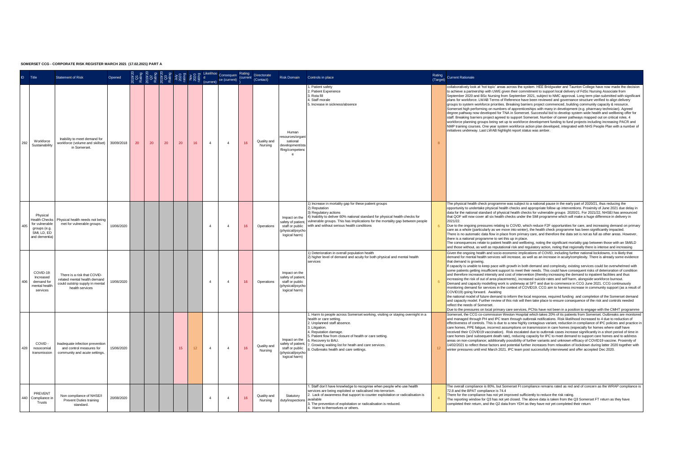| $\blacksquare$ | Title                                                                    | <b>Statement of Risk</b>                                                                                          | Opened     |    |    |    |    |                 |                | Likelihoo Consequen<br>ce (current) | Rating<br>(current | Directorate<br>(Contact) | Risk Domain                                                                                    | Controls in place                                                                                                                                                                                                                                                                                                                                                    |                | Rating<br>(Target) Current Rationale                                                                                                                                                                                                                                                                                                                                                                                                                                                                                                                                                                                                                                                                                                                                                                                                                                                                                                                                                                                                                                                                                                                                                                                                                                                                                                                                                                                                                                                                               |
|----------------|--------------------------------------------------------------------------|-------------------------------------------------------------------------------------------------------------------|------------|----|----|----|----|-----------------|----------------|-------------------------------------|--------------------|--------------------------|------------------------------------------------------------------------------------------------|----------------------------------------------------------------------------------------------------------------------------------------------------------------------------------------------------------------------------------------------------------------------------------------------------------------------------------------------------------------------|----------------|--------------------------------------------------------------------------------------------------------------------------------------------------------------------------------------------------------------------------------------------------------------------------------------------------------------------------------------------------------------------------------------------------------------------------------------------------------------------------------------------------------------------------------------------------------------------------------------------------------------------------------------------------------------------------------------------------------------------------------------------------------------------------------------------------------------------------------------------------------------------------------------------------------------------------------------------------------------------------------------------------------------------------------------------------------------------------------------------------------------------------------------------------------------------------------------------------------------------------------------------------------------------------------------------------------------------------------------------------------------------------------------------------------------------------------------------------------------------------------------------------------------------|
| 292            | Workforce<br>Sustainability                                              | Inability to meet demand for<br>workforce (volume and skillset)<br>in Somerset                                    | 30/09/2018 | 20 | 20 | 20 | 20 | 16              | $\Delta$       | $\overline{4}$                      | 16                 | Quality and<br>Nursing   | Human<br>esources/organ<br>sational<br>development/sta<br>fing/competen<br>$\ddot{\textbf{e}}$ | . Patient safety<br>2. Patient Experience<br>3. Rota fill<br>4. Staff morale<br>5. Increase in sickness/absence                                                                                                                                                                                                                                                      | $\overline{a}$ | collaboratively look at "hot topic" areas across the system. HEE Bridgwater and Taunton College have now made the decision<br>to achieve a partnership with UWE given their commitment to support local delivery of FdSc Nursing Associate from<br>September 2020 and BSc Nursing from September 2021, subject to NMC approval, Long term plan submitted with significant<br>plans for workforce. LWAB Terms of Reference have been reviewed and governance structure verified to align delivery<br>groups to system workforce priorities. Breaking barriers project commenced, building community capacity & resource.<br>Somerset high performing on numbers of apprenticeships with many in development (e.g. pharmacy technician). Agreed<br>degree pathway now developed for TNA in Somerset. Successful bid to develop system wide health and wellbeing offer for<br>staff. Breaking barriers project agreed to support Somerset. Number of career pathways mapped out on critical roles. 4<br>workforce planning groups being set up to workforce development funding to fund projects including increasing PACR and<br>NMP training courses. One year system workforce action plan developed, integrated with NHS People Plan with a number of<br>initiatives underway. Last LWAB highlight report status was amber.                                                                                                                                                                                       |
| 405            | Physical<br>for vulnerable<br>groups (e.g.<br>SML LD, ED<br>and dementia | Health Checks Physical health needs not being<br>met for vulnerable groups.                                       | 10/06/2020 |    |    |    |    |                 | $\mathbf{d}$   | $\mathbf{A}$                        | 16                 | Operations               | Impact on the<br>safety of patient<br>staff or public<br>(physical/psycho<br>logical harm)     | 1) Increase in mortality gap for these patient groups<br>2) Reputation<br>3) Regulatory actions<br>4) Inability to deliver 60% national standard for physical health checks for<br>vulnerable groups. This has implications for the mortality gap between people<br>with and without serious health conditions                                                       |                | The physical health check programme was subject to a national pause in the early part of 2020/21, thus reducing the<br>opportunity to undertake physical health checks and appropriate follow up interventions. Proximity of June 2021 due delay in<br>data for the national standard of physical health checks for vulnerable groups 2020/21. For 2021/22. NHSEI has announced<br>that QOF will now cover all six health checks under the SMI programme which will make a huge difference in delivery in<br>2021/22<br>Due to the ongoing pressures relating to COVID, which reduce F2F opportunities for care, and increasing demand on primary<br>care as a whole (particularly as we move into winter), the health check programme has been significantly impacted.<br>There is no automatic data flow in place from primary care, and therefore the data set is not as full as other areas. However,<br>there is a national programme to set this up in place.<br>The consequences relate to patient health and wellbeing, noting the significant mortality gap between those with an SMVLD<br>and those without, as well as reputational risk and regulatory action, noting that regionally there is intense and increasing                                                                                                                                                                                                                                                                                  |
| 406            | COVID-19:<br>Increased<br>demand for<br>mental health<br>Services        | There is a risk that COVID-<br>related mental health demand<br>could outstrip supply in mental<br>health services | 10/06/2020 |    |    |    |    |                 | $\overline{A}$ | $\overline{4}$                      | 16                 | Operations               | Impact on the<br>safety of patient<br>staff or public<br>(physical/psychr<br>logical harm)     | 1) Deterioration in overall population health<br>2) higher level of demand and acuity for both physical and mental health<br>services                                                                                                                                                                                                                                |                | Given the ongoing health and socio-economic implications of COVID, including further national lockdowns, it is likely that<br>demand for mental health services will increase, as well as an increase in acuity/complexity. There is already some evidence<br>that demand is growing.<br>If capacity is unable to keep pace with growth in both demand and complexity, existing services could be overwhelmed with<br>some patients getting insufficient support to meet their needs. This could have consequent risks of deterioration of condition<br>and therefore increased intensity and cost of intervention (thereby increasing the demand to inpatient facilities and thus<br>increasing the risk of out of area placements), increased suicide rates and self harm, alongside workforce burnout.<br>Demand and capacity modelling work is underway at SFT and due to commence in CCG June 2021, CCG continuously<br>monitoring demand for services in the context of COVID19. CCG aim to harness increase in community support (as a result of<br>COVID19) going forward. Awaiting<br>the national model of future demand to inform the local response, required funding and completion of the Somerset demand<br>and capacity model. Further review of this risk will then take place to ensure consequence of the risk and controls needed<br>reflect the needs of Somerset.<br>Due to the pressures on local primary care services, PCNs have not been in a position to engage with the CMHT programme |
| 428            | COVID-<br>nosocomial<br>transmission                                     | Inadequate infection prevention<br>and control measures for<br>community and acute settings.                      | 15/06/2020 |    |    |    | 15 | 12 <sup>°</sup> | $\Delta$       | $\mathbf{A}$                        | 16                 | Quality and<br>Nursing   | Impact on the<br>safety of patient<br>staff or public<br>physical/psycho<br>logical harm)      | I. Harm to people across Somerset working, visiting or staying overnight in a<br>health or care setting.<br>2. Unplanned staff absence.<br>3. Litigation.<br>4. Reputation damage.<br>5. Patient flow from closure of health or care setting.<br>3. Recovery to BAU.<br>. Growing waiting list for heath and care services.<br>. Outbreaks health and care settings. | 12             | Somerset, the CCG co-commission Weston Hospital which takes 20% of its patients from Somerset, Outbreaks are monitored<br>and managed through PH and IPC team through outbreak notifications. Risk likelihood increased to 4 due to reduction of<br>effectiveness of controls. This is due to a new highly contagious variant, reduction in compliance of IPC policies and practice in<br>care homes, PPE fatigue, incorrect assumptions on transmission in care homes (especially for homes where staff have<br>received their COVID19 vaccination). Risk escalated due to outbreak cases increase significantly in a short period of time in<br>care homes (and subsequent death rate), reducing capacity for IPC to meet demand to support care homes and to address<br>areas on non-compliance: additionally possibility of further variants and unknown efficacy of COVID19 vaccine. Proximity of<br>14/02/2021 to reflect these factors and potential further increases from relaxation of lockdown during latter 2020 together with<br>winter pressures until end March 2021. IPC team post successfully interviewed and offer accepted Dec 2020.                                                                                                                                                                                                                                                                                                                                                           |
| 440            | PREVENT<br>Compliance in<br>Trusts                                       | Non compliance of NHSE/I<br>Prevent Duties training<br>standard.                                                  | 20/08/2020 |    |    |    |    |                 | $\mathbf{d}$   | $\mathbf{A}$                        | 16                 | Quality and<br>Nursing   | Statutory<br>dutvinspections                                                                   | 1. Staff don't have knowledge to recognise when people who use health<br>services are being exploited or radicalised into terrorism.<br>2. Lack of awareness that support to counter exploitation or radicalisation is<br>available<br>3. The prevention of exploitation or radicalisation is reduced.<br>. Harm to themselves or others.                            |                | The overall compliance is 80%, but Somerset Ft compliance remains rated as red and of concern as the WRAP compliance is<br>72.8 and the BPAT compliance is 74.4<br>There for the compliance has not yet improved sufficiently to reduce the risk rating.<br>The reporting window for Q3 has not yet closed. The above data is taken from the Q3 Somerset FT return as they have<br>completed their return, and the Q2 data from YDH as they have not yet completed their return                                                                                                                                                                                                                                                                                                                                                                                                                                                                                                                                                                                                                                                                                                                                                                                                                                                                                                                                                                                                                                    |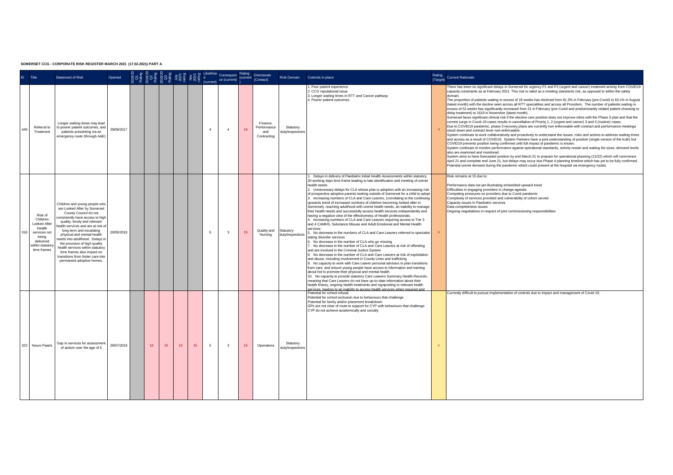| ID. | Title                                                                                                                  | <b>Statement of Risk</b>                                                                                                                                                                                                                                                                                                                                                                                                                                        | Opened     |    |    |    |    |        | <sup>xo</sup> Consequen<br>n ce (current) | Rating<br>(current | Directorate<br>(Contact)                     | Risk Domain                         | Controls in place                                                                                                                                                                                                                                                                                                                                                                                                                                                                                                                                                                                                                                                                                                                                                                                                                                                                                                                                                                                                                                                                                                                                                                                                                                                                                                                                                                                                                                                                                                                                                                                                                                                                                                                                                                                                                                                                                                          | Rating<br>(Target) Current Rationale                                                                                                                                                                                                                                                                                                                                                                                                                                                                                                                                                                                                                                                                                                                                                                                                                                                                                                                                                                                                                                                                                                                                                                                                                                                                                                                                                                                                                                                                                                                                                                                                                                                                                                                                                                                                                                                                                                                                                                                                                     |
|-----|------------------------------------------------------------------------------------------------------------------------|-----------------------------------------------------------------------------------------------------------------------------------------------------------------------------------------------------------------------------------------------------------------------------------------------------------------------------------------------------------------------------------------------------------------------------------------------------------------|------------|----|----|----|----|--------|-------------------------------------------|--------------------|----------------------------------------------|-------------------------------------|----------------------------------------------------------------------------------------------------------------------------------------------------------------------------------------------------------------------------------------------------------------------------------------------------------------------------------------------------------------------------------------------------------------------------------------------------------------------------------------------------------------------------------------------------------------------------------------------------------------------------------------------------------------------------------------------------------------------------------------------------------------------------------------------------------------------------------------------------------------------------------------------------------------------------------------------------------------------------------------------------------------------------------------------------------------------------------------------------------------------------------------------------------------------------------------------------------------------------------------------------------------------------------------------------------------------------------------------------------------------------------------------------------------------------------------------------------------------------------------------------------------------------------------------------------------------------------------------------------------------------------------------------------------------------------------------------------------------------------------------------------------------------------------------------------------------------------------------------------------------------------------------------------------------------|----------------------------------------------------------------------------------------------------------------------------------------------------------------------------------------------------------------------------------------------------------------------------------------------------------------------------------------------------------------------------------------------------------------------------------------------------------------------------------------------------------------------------------------------------------------------------------------------------------------------------------------------------------------------------------------------------------------------------------------------------------------------------------------------------------------------------------------------------------------------------------------------------------------------------------------------------------------------------------------------------------------------------------------------------------------------------------------------------------------------------------------------------------------------------------------------------------------------------------------------------------------------------------------------------------------------------------------------------------------------------------------------------------------------------------------------------------------------------------------------------------------------------------------------------------------------------------------------------------------------------------------------------------------------------------------------------------------------------------------------------------------------------------------------------------------------------------------------------------------------------------------------------------------------------------------------------------------------------------------------------------------------------------------------------------|
| 449 | Referral to<br>Treatment                                                                                               | Longer waiting times may lead<br>to poorer patient outcomes, and<br>patients presenting via an<br>emergency route (through A&E)                                                                                                                                                                                                                                                                                                                                 | 29/09/2017 |    |    |    |    | $\sim$ | $\sim$                                    | 16                 | Finance<br>Performance<br>and<br>Contracting | Statutory<br>duty/inspections       | Poor patient experience<br>. CCG reputational issue<br>3. Longer waiting times in RTT and Cancer pathway<br>4. Poorer patient outcomes                                                                                                                                                                                                                                                                                                                                                                                                                                                                                                                                                                                                                                                                                                                                                                                                                                                                                                                                                                                                                                                                                                                                                                                                                                                                                                                                                                                                                                                                                                                                                                                                                                                                                                                                                                                     | There has been no significant delays in Somerset for urgency P1 and P2 (urgent and cancer) treatment arising from COVID19<br>capacity constraints as at February 2021. This risk is rated as a meeting standards risk, as opposed to within the safety<br>domain<br>The proportion of patients waiting in excess of 18 weeks has declined from 81.3% in February (pre-Covid) to 63.1% in August<br>(latest month) with the decline seen across all RTT specialities and across all Providers. The number of patients waiting in<br>excess of 52 weeks has significantly increased from 21 in February (pre-Covid and predominantly related patient choosing to<br>delay treatment) to 1619 in November (latest month).<br>Somerset faces significant clinical risk if the elective care position does not improve inline with the Phase 3 plan and that the<br>current surge in Covid-19 cases results in cancellation of Priority 1, 2 (urgent and cancer) 3 and 4 (routine) cases.<br>Due to COVID19 pandemic, phase 3 recovery plans are currently non enforceable with contract and performance meetings<br>stood down and contract lever non-enforceable<br>System continues to work collaboratively and proactively to understand the issues, risks and actions to address waiting times<br>and access as a result of COVID19. System Partners have a joint understanding of position (single version of the truth) but<br>COVID19 prevents position being confirmed until full impact of pandemic is known.<br>System continues to monitor performance against operational standards, activity restart and waiting list sizes; demand levels<br>also are examined and monitored.<br>System aims to have forecasted position by end March 21 to prepare for operational planning (21/22) which will commence<br>April 21 and complete end June 21, but delays may occur due Phase 4 planning timeline which has yet to be fully confirmed.<br>Potential unmet demand during the pandemic which could present at the hospital via emergency routes. |
| 318 | Risk of<br>Children<br>Looked After<br>Health<br>services not<br>being<br>delivered<br>within statutory<br>time frames | Children and young people who<br>are Looked After by Somerset<br>County Council do not<br>consistently have access to high<br>quality, timely and relevant<br>ealth services and are at risk o<br>long term and escalating<br>physical and mental health<br>eeds into adulthood. Delays in<br>the provision of high quality<br>health services within statutory<br>time frames also impact on<br>transitions from foster care into<br>permanent adoptive homes. | 20/05/2019 |    |    |    |    | 5      | 3                                         | 15                 | Quality and<br>Nursing                       | Statutory<br>duty/inspections       | Delays in delivery of Paediatric Initial Health Assessments within statutory<br>20 working days time frame leading to late identification and meeting of unmet<br>health needs<br>2. Unnecessary delays for CLA whose plan is adoption with an increasing risk<br>of prospective adoptive parents looking outside of Somerset for a child to adopt<br>3. Increasing numbers of CLA and Care Leavers, (correlating to the continuing<br>upwards trend of increased numbers of children becoming looked after in<br>Somerset), reaching adulthood with unmet health needs, an inability to manage<br>their health needs and successfully access health services independently and<br>having a negative view of the effectiveness of Health professionals.<br>4. Increasing numbers of CLA and Care Leavers requiring access to Tier 3<br>and 4 CAMHS. Substance Misuse and Adult Emotional and Mental Health<br>services<br>5. No decrease in the numbers of CLA and Care Leavers referred to specialist<br>eating disorder services<br>. No decrease in the number of CLA who go missing<br>No decrease in the number of CLA and Care Leavers at risk of offending<br>and are involved in the Criminal Justice System<br>. No decrease in the number of CLA and Care Leavers at risk of exploitation<br>and abuse, including involvement in County Lines and trafficking<br>9. No capacity to work with Care Leaver personal advisers to plan transitions<br>from care, and ensure young people have access to information and training<br>about hot to promote their physical and mental health<br>10. No capacity to provide statutory Care Leavers Summary Health Records,<br>meaning that Care Leavers do not have up-to-date information about their<br>health history, ongoing health treatments and signposting to relevant health<br>betwices. Insiding to an inshility to access health services when required and | Risk remains at 15 due to:<br>Performance data not vet illustrating embedded upward trend<br>Difficulties in engaging providers in change agenda<br>Competing pressures on providers due to Covid pandemic<br>Complexity of services provided and vulnerability of cohort served<br>Capacity issues in Paediatric services<br>Data completeness issues<br>Ongoing negotiations in respect of joint commissioning responsibilities                                                                                                                                                                                                                                                                                                                                                                                                                                                                                                                                                                                                                                                                                                                                                                                                                                                                                                                                                                                                                                                                                                                                                                                                                                                                                                                                                                                                                                                                                                                                                                                                                        |
|     | 323 Neuro Paeds                                                                                                        | Gap in services for assessment<br>of autism over the age of 5                                                                                                                                                                                                                                                                                                                                                                                                   | 29/07/2019 | 16 | 15 | 15 | 15 | 5      | 3                                         | 15                 | Operations                                   | Statutory<br><b>jutvinspections</b> | Potential for school refusal<br>Potential for school exclusion due to behaviours that challenge<br>Potential for family and/or placement breakdown<br>GPs are not clear of route to support for CYP with behaviours that challenge<br>CYP do not achieve academically and socially                                                                                                                                                                                                                                                                                                                                                                                                                                                                                                                                                                                                                                                                                                                                                                                                                                                                                                                                                                                                                                                                                                                                                                                                                                                                                                                                                                                                                                                                                                                                                                                                                                         | Currently difficult to pursue implementation of controls due to impact and management of Covid-19.                                                                                                                                                                                                                                                                                                                                                                                                                                                                                                                                                                                                                                                                                                                                                                                                                                                                                                                                                                                                                                                                                                                                                                                                                                                                                                                                                                                                                                                                                                                                                                                                                                                                                                                                                                                                                                                                                                                                                       |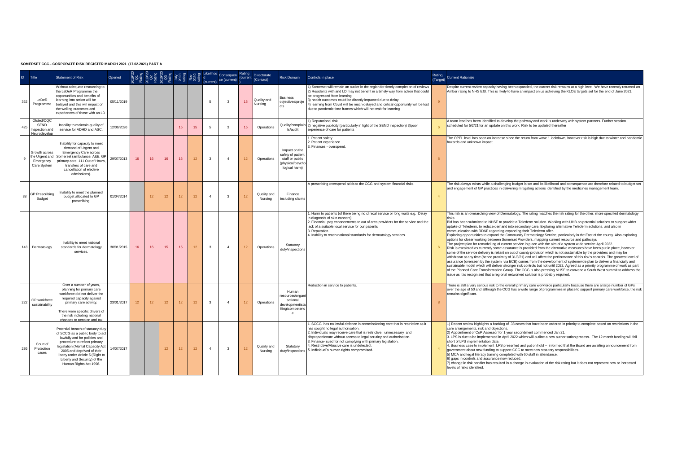| ID.     | Title                                                       | <b>Statement of Risk</b>                                                                                                                                                                                                                                                                              | Opened     |    |                  |    |                 |    |                         | Consequen<br>(current) ce (current) | Rating<br>(current | Directorate<br>(Contact) | Risk Domain                                                                              | Controls in place                                                                                                                                                                                                                                                                                                                                                                                                             | (Target) | Rating Current Rationale                                                                                                                                                                                                                                                                                                                                                                                                                                                                                                                                                                                                                                                                                                                                                                                                                                                                                                                                                                                                                                                                                                                                                                                                                                                                                                                                                                                                                                                                                                                                                                                                                                                        |
|---------|-------------------------------------------------------------|-------------------------------------------------------------------------------------------------------------------------------------------------------------------------------------------------------------------------------------------------------------------------------------------------------|------------|----|------------------|----|-----------------|----|-------------------------|-------------------------------------|--------------------|--------------------------|------------------------------------------------------------------------------------------|-------------------------------------------------------------------------------------------------------------------------------------------------------------------------------------------------------------------------------------------------------------------------------------------------------------------------------------------------------------------------------------------------------------------------------|----------|---------------------------------------------------------------------------------------------------------------------------------------------------------------------------------------------------------------------------------------------------------------------------------------------------------------------------------------------------------------------------------------------------------------------------------------------------------------------------------------------------------------------------------------------------------------------------------------------------------------------------------------------------------------------------------------------------------------------------------------------------------------------------------------------------------------------------------------------------------------------------------------------------------------------------------------------------------------------------------------------------------------------------------------------------------------------------------------------------------------------------------------------------------------------------------------------------------------------------------------------------------------------------------------------------------------------------------------------------------------------------------------------------------------------------------------------------------------------------------------------------------------------------------------------------------------------------------------------------------------------------------------------------------------------------------|
| 362     | LeDeR<br>Programme                                          | Without adequate resourcing to<br>the LeDeR Programme the<br>opportunities and benefits of<br>learning into action will be<br>belayed and this will impact on<br>the welling outcomes and<br>experiences of those with an LD                                                                          | 05/11/2019 |    |                  |    |                 |    | 5.                      | $\mathcal{R}$                       | 15                 | Quality and<br>Nursing   | <b>Business</b><br>obiectives/proie<br>cts                                               | Somerset will remain an outlier in the region for timely completion of reviews<br>2) Residents with and LD may not benefit in a timely way from action that could<br>be progressed from learning<br>3) health outcomes could be directly impacted due to delay<br>4) learning from Covid will be much delayed and critical opportunity will be lost<br>due to pandemic time frames which will not wait for learning           |          | Despite current review capacity having been expanded, the current risk remains at a high level. We have recently returned an<br>Amber rating to NHS E&I. This is likely to have an impact on us achieving the KLOE targets set for the end of June 2021.                                                                                                                                                                                                                                                                                                                                                                                                                                                                                                                                                                                                                                                                                                                                                                                                                                                                                                                                                                                                                                                                                                                                                                                                                                                                                                                                                                                                                        |
| 425     | Ofsted/CQC<br>SEND<br>Inspection and<br>Neurodevelop        | Inability to maintain quality of<br>service for ADHD and ASC.                                                                                                                                                                                                                                         | 12/06/2020 |    |                  |    | 15              | 15 | -5                      | $\mathcal{R}$                       | 15                 | Operations               | Quality/complain<br>ts/audit                                                             | Reputational risk<br>2) negative publicity (particularly in light of the SEND inspection) 3)poor<br>experience of care for patients                                                                                                                                                                                                                                                                                           |          | A team lead has been identified to develop the pathway and work is underway with system partners. Further session<br>scheduled for 5/2/21 for an update on this work. Risk to be updated thereafter                                                                                                                                                                                                                                                                                                                                                                                                                                                                                                                                                                                                                                                                                                                                                                                                                                                                                                                                                                                                                                                                                                                                                                                                                                                                                                                                                                                                                                                                             |
|         | Growth across<br>the Urgent and<br>Emergency<br>Care System | Inability for capacity to meet<br>demand of Urgent and<br>Emergency Care across<br>Somerset (ambulance, A&E, GP<br>primary care. 111 Out of Hours.<br>transfers of care and<br>cancellation of elective<br>admissions).                                                                               | 29/07/2013 | 16 | 16               | 16 | 16              | 12 | $\mathbf{3}$            | $\mathbf{A}$                        | 12                 | Operations               | Impact on the<br>safety of patient<br>staff or public<br>bhysical/psych<br>logical harm) | Patient safety.<br>2. Patient experience<br>3. Finances - overspend.                                                                                                                                                                                                                                                                                                                                                          |          | The OPEL level has seen an increase since the return from wave 1 lockdown, however risk is high due to winter and pandemir<br>hazards and unknown impact.                                                                                                                                                                                                                                                                                                                                                                                                                                                                                                                                                                                                                                                                                                                                                                                                                                                                                                                                                                                                                                                                                                                                                                                                                                                                                                                                                                                                                                                                                                                       |
| $_{25}$ | <b>GP Prescribing</b><br>Budget                             | Inability to meet the planned<br>budget allocated to GP<br>prescribing.                                                                                                                                                                                                                               | 01/04/2014 |    | 12 <sup>°</sup>  | 12 | 12 <sup>2</sup> | 12 | $\mathbf{A}$            | 3                                   | 12                 | Quality and<br>Nursing   | Finance<br>including claims                                                              | A prescribing overspend adds to the CCG and system financial risks.                                                                                                                                                                                                                                                                                                                                                           |          | The risk always exists while a challenging budget is set and its likelihood and consequence are therefore related to budget set<br>and engagement of GP practices in delivering mitigating actions identified by the medicines management team.                                                                                                                                                                                                                                                                                                                                                                                                                                                                                                                                                                                                                                                                                                                                                                                                                                                                                                                                                                                                                                                                                                                                                                                                                                                                                                                                                                                                                                 |
|         | 143 Dermatology                                             | Inability to meet national<br>standards for dermatology<br>services.                                                                                                                                                                                                                                  | 30/01/2015 | 16 | 16               | 15 | 15              | 12 | $\overline{\mathbf{3}}$ | $\mathbf{d}$                        | 12                 | Operations               | Statutory<br>dutvinspection                                                              | Harm to patients (of there being no clinical service or long waits e.g. Delay<br>n diagnosis of skin cancers).<br>2. Financial: pay enhancements to out of area providers for the service and the<br>lack of a suitable local service for our patients<br>3. Reputation<br>4. Inability to reach national standards for dermatology services.                                                                                 |          | This risk is an overarching view of Dermatology. The rating matches the risk rating for the other, more specified dermatology<br>risks<br>Bid has been submitted to NHSE to provide a Telederm solution. Working with UHB on potential solutions to support wider<br>uptake of Telederm, to reduce demand into secondary care. Exploring alternative Telederm solutions, and also in<br>communication with RD&E regarding expanding their Telederm offer.<br>Exploring opportunities to expand the Community Dermatology Service, particularly in the East of the county. Also exploring<br>options for closer working between Somerset Providers, mapping current resource and pathways<br>The project plan for remodelling of current service in place with the aim of a system wide service April 2022.<br>Risk is escalated as currently some assurance is provided from the alternative measures have been put in place, however<br>some of the service delivery is reliant on out of county provision which is not sustainable by the providers and may be<br>withdrawn at any time (hence proximity of 31/3/21) and will affect the performance of this risk's controls. The greatest level of<br>assurance (overseen by the system via ECB) comes from the development of systemwide plan to deliver a financially and<br>sustainable model which will deliver stronger risk controls but not until 2022. Agreed as a priority programme of work as part<br>of the Planned Care Transformation Group. The CCG is also pressing NHSE to convene a South West summit to address the<br>issue as it is recognised that a regional networked solution is probably required. |
| 222     | GP workforce<br>sustainability                              | Over a number of years.<br>planning for primary care<br>workforce did not deliver the<br>required capacity against<br>primary care activity.<br>There were specific drivers of<br>the risk including national<br>channee to negeion and tay                                                           | 23/01/2017 | 12 | 12 <sup>12</sup> | 12 | 12              | 12 | $\overline{\mathbf{3}}$ | $\mathbf{A}$                        | 12                 | Operations               | Human<br>sources/organ<br>sational<br>development/st:<br>ffing/competend<br>$^{\circ}$   | Reduction in service to patients.                                                                                                                                                                                                                                                                                                                                                                                             |          | There is still a very serious risk to the overall primary care workforce particularly because there are a large number of GPs<br>over the age of 50 and although the CCG has a wide range of programmes in place to support primary care workforce, the risk<br>remains significant.                                                                                                                                                                                                                                                                                                                                                                                                                                                                                                                                                                                                                                                                                                                                                                                                                                                                                                                                                                                                                                                                                                                                                                                                                                                                                                                                                                                            |
| 236     | Court of<br>Protection<br>cases                             | Potential breach of statuary duty<br>of SCCG as a public body to act<br>lawfully and for policies and<br>procedure to reflect primary<br>egislation (Mental Capacity Act<br>2005 and deprived of their<br>liberty under Article 5 (Right to<br>Liberty and Security) of the<br>Human Rights Act 1998. | 14/07/2017 |    |                  | 12 | 12              | 12 | $\sim$                  | $\mathbf{3}$                        | 12                 | Quality and<br>Nursing   | Statutory<br>duty/inspections                                                            | . SCCG has no lawful defence in commissioning care that is restrictive as it<br>has sought no legal authorisation.<br>2. Individuals may receive care that is restrictive, unnecessary and<br>disproportionate without access to legal scrutiny and authorisation.<br>3. Finance- sued for not complying with primary legislation.<br>I. Restrictive/Abusive care is undetected.<br>5. Individual's human rights compromised. |          | 1) Recent review highlights a backlog of 38 cases that have been ordered in priority to complete based on restrictions in the<br>care arrangements, risk and objections.<br>2) Appointment of CoP Assessor for 1 year secondment commenced Jan 21.<br>3. LPS is due to be implemented in April 2022 which will outline a new authorisation process. The 12 month funding will fall<br>short of LPS implementation date.<br>4. Business case to implement LPS presented and put on hold - informed that the Board are awaiting announcement from<br>government about new funding to support CCG to meet new statutory responsibilities.<br>5) MCA and legal literacy training completed with 60 staff in attendance.<br>6) gaps in controls and assurance now reduced.<br>7) change in risk handler has resulted in a change in evaluation of the risk rating but it does not represent new or increased<br>levels of risks identified.                                                                                                                                                                                                                                                                                                                                                                                                                                                                                                                                                                                                                                                                                                                                          |